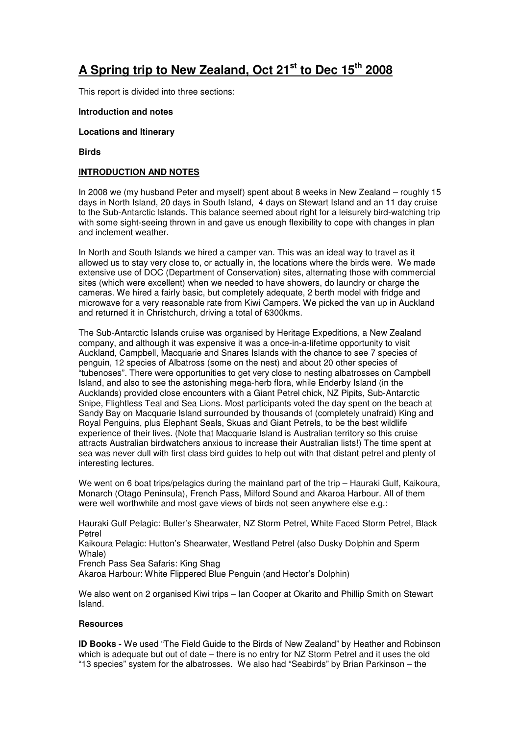# **A Spring trip to New Zealand, Oct 21st to Dec 15th 2008**

This report is divided into three sections:

#### **Introduction and notes**

#### **Locations and Itinerary**

**Birds** 

# **INTRODUCTION AND NOTES**

In 2008 we (my husband Peter and myself) spent about 8 weeks in New Zealand – roughly 15 days in North Island, 20 days in South Island, 4 days on Stewart Island and an 11 day cruise to the Sub-Antarctic Islands. This balance seemed about right for a leisurely bird-watching trip with some sight-seeing thrown in and gave us enough flexibility to cope with changes in plan and inclement weather.

In North and South Islands we hired a camper van. This was an ideal way to travel as it allowed us to stay very close to, or actually in, the locations where the birds were. We made extensive use of DOC (Department of Conservation) sites, alternating those with commercial sites (which were excellent) when we needed to have showers, do laundry or charge the cameras. We hired a fairly basic, but completely adequate, 2 berth model with fridge and microwave for a very reasonable rate from Kiwi Campers. We picked the van up in Auckland and returned it in Christchurch, driving a total of 6300kms.

The Sub-Antarctic Islands cruise was organised by Heritage Expeditions, a New Zealand company, and although it was expensive it was a once-in-a-lifetime opportunity to visit Auckland, Campbell, Macquarie and Snares Islands with the chance to see 7 species of penguin, 12 species of Albatross (some on the nest) and about 20 other species of "tubenoses". There were opportunities to get very close to nesting albatrosses on Campbell Island, and also to see the astonishing mega-herb flora, while Enderby Island (in the Aucklands) provided close encounters with a Giant Petrel chick, NZ Pipits, Sub-Antarctic Snipe, Flightless Teal and Sea Lions. Most participants voted the day spent on the beach at Sandy Bay on Macquarie Island surrounded by thousands of (completely unafraid) King and Royal Penguins, plus Elephant Seals, Skuas and Giant Petrels, to be the best wildlife experience of their lives. (Note that Macquarie Island is Australian territory so this cruise attracts Australian birdwatchers anxious to increase their Australian lists!) The time spent at sea was never dull with first class bird guides to help out with that distant petrel and plenty of interesting lectures.

We went on 6 boat trips/pelagics during the mainland part of the trip – Hauraki Gulf, Kaikoura, Monarch (Otago Peninsula), French Pass, Milford Sound and Akaroa Harbour. All of them were well worthwhile and most gave views of birds not seen anywhere else e.g.:

Hauraki Gulf Pelagic: Buller's Shearwater, NZ Storm Petrel, White Faced Storm Petrel, Black Petrel

Kaikoura Pelagic: Hutton's Shearwater, Westland Petrel (also Dusky Dolphin and Sperm Whale)

French Pass Sea Safaris: King Shag

Akaroa Harbour: White Flippered Blue Penguin (and Hector's Dolphin)

We also went on 2 organised Kiwi trips – Ian Cooper at Okarito and Phillip Smith on Stewart Island.

# **Resources**

**ID Books -** We used "The Field Guide to the Birds of New Zealand" by Heather and Robinson which is adequate but out of date – there is no entry for NZ Storm Petrel and it uses the old "13 species" system for the albatrosses. We also had "Seabirds" by Brian Parkinson – the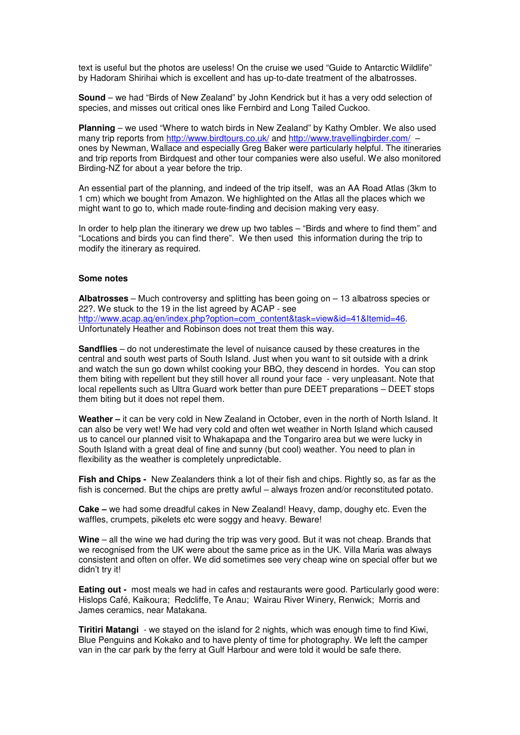text is useful but the photos are useless! On the cruise we used "Guide to Antarctic Wildlife" by Hadoram Shirihai which is excellent and has up-to-date treatment of the albatrosses.

**Sound** – we had "Birds of New Zealand" by John Kendrick but it has a very odd selection of species, and misses out critical ones like Fernbird and Long Tailed Cuckoo.

**Planning** – we used "Where to watch birds in New Zealand" by Kathy Ombler. We also used many trip reports from http://www.birdtours.co.uk/ and http://www.travellingbirder.com/ ones by Newman, Wallace and especially Greg Baker were particularly helpful. The itineraries and trip reports from Birdquest and other tour companies were also useful. We also monitored Birding-NZ for about a year before the trip.

An essential part of the planning, and indeed of the trip itself, was an AA Road Atlas (3km to 1 cm) which we bought from Amazon. We highlighted on the Atlas all the places which we might want to go to, which made route-finding and decision making very easy.

In order to help plan the itinerary we drew up two tables – "Birds and where to find them" and "Locations and birds you can find there". We then used this information during the trip to modify the itinerary as required.

#### **Some notes**

**Albatrosses** – Much controversy and splitting has been going on – 13 albatross species or 22?. We stuck to the 19 in the list agreed by ACAP - see http://www.acap.aq/en/index.php?option=com\_content&task=view&id=41&Itemid=46. Unfortunately Heather and Robinson does not treat them this way.

**Sandflies** – do not underestimate the level of nuisance caused by these creatures in the central and south west parts of South Island. Just when you want to sit outside with a drink and watch the sun go down whilst cooking your BBQ, they descend in hordes. You can stop them biting with repellent but they still hover all round your face - very unpleasant. Note that local repellents such as Ultra Guard work better than pure DEET preparations – DEET stops them biting but it does not repel them.

**Weather –** it can be very cold in New Zealand in October, even in the north of North Island. It can also be very wet! We had very cold and often wet weather in North Island which caused us to cancel our planned visit to Whakapapa and the Tongariro area but we were lucky in South Island with a great deal of fine and sunny (but cool) weather. You need to plan in flexibility as the weather is completely unpredictable.

**Fish and Chips -** New Zealanders think a lot of their fish and chips. Rightly so, as far as the fish is concerned. But the chips are pretty awful – always frozen and/or reconstituted potato.

**Cake –** we had some dreadful cakes in New Zealand! Heavy, damp, doughy etc. Even the waffles, crumpets, pikelets etc were soggy and heavy. Beware!

**Wine** – all the wine we had during the trip was very good. But it was not cheap. Brands that we recognised from the UK were about the same price as in the UK. Villa Maria was always consistent and often on offer. We did sometimes see very cheap wine on special offer but we didn't try it!

**Eating out -** most meals we had in cafes and restaurants were good. Particularly good were: Hislops Café, Kaikoura; Redcliffe, Te Anau; Wairau River Winery, Renwick; Morris and James ceramics, near Matakana.

**Tiritiri Matangi** - we stayed on the island for 2 nights, which was enough time to find Kiwi, Blue Penguins and Kokako and to have plenty of time for photography. We left the camper van in the car park by the ferry at Gulf Harbour and were told it would be safe there.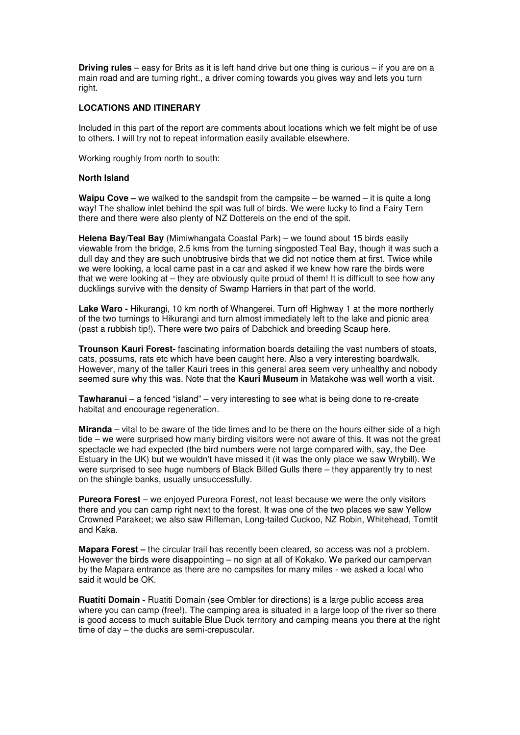**Driving rules** – easy for Brits as it is left hand drive but one thing is curious – if you are on a main road and are turning right., a driver coming towards you gives way and lets you turn right.

### **LOCATIONS AND ITINERARY**

Included in this part of the report are comments about locations which we felt might be of use to others. I will try not to repeat information easily available elsewhere.

Working roughly from north to south:

#### **North Island**

**Waipu Cove –** we walked to the sandspit from the campsite – be warned – it is quite a long way! The shallow inlet behind the spit was full of birds. We were lucky to find a Fairy Tern there and there were also plenty of NZ Dotterels on the end of the spit.

**Helena Bay/Teal Bay** (Mimiwhangata Coastal Park) – we found about 15 birds easily viewable from the bridge, 2.5 kms from the turning singposted Teal Bay, though it was such a dull day and they are such unobtrusive birds that we did not notice them at first. Twice while we were looking, a local came past in a car and asked if we knew how rare the birds were that we were looking at – they are obviously quite proud of them! It is difficult to see how any ducklings survive with the density of Swamp Harriers in that part of the world.

**Lake Waro - Hikurangi, 10 km north of Whangerei. Turn off Highway 1 at the more northerly** of the two turnings to Hikurangi and turn almost immediately left to the lake and picnic area (past a rubbish tip!). There were two pairs of Dabchick and breeding Scaup here.

**Trounson Kauri Forest-** fascinating information boards detailing the vast numbers of stoats, cats, possums, rats etc which have been caught here. Also a very interesting boardwalk. However, many of the taller Kauri trees in this general area seem very unhealthy and nobody seemed sure why this was. Note that the **Kauri Museum** in Matakohe was well worth a visit.

**Tawharanui** – a fenced "island" – very interesting to see what is being done to re-create habitat and encourage regeneration.

**Miranda** – vital to be aware of the tide times and to be there on the hours either side of a high tide – we were surprised how many birding visitors were not aware of this. It was not the great spectacle we had expected (the bird numbers were not large compared with, say, the Dee Estuary in the UK) but we wouldn't have missed it (it was the only place we saw Wrybill). We were surprised to see huge numbers of Black Billed Gulls there – they apparently try to nest on the shingle banks, usually unsuccessfully.

**Pureora Forest** – we enjoyed Pureora Forest, not least because we were the only visitors there and you can camp right next to the forest. It was one of the two places we saw Yellow Crowned Parakeet; we also saw Rifleman, Long-tailed Cuckoo, NZ Robin, Whitehead, Tomtit and Kaka.

**Mapara Forest –** the circular trail has recently been cleared, so access was not a problem. However the birds were disappointing – no sign at all of Kokako. We parked our campervan by the Mapara entrance as there are no campsites for many miles - we asked a local who said it would be OK.

**Ruatiti Domain -** Ruatiti Domain (see Ombler for directions) is a large public access area where you can camp (free!). The camping area is situated in a large loop of the river so there is good access to much suitable Blue Duck territory and camping means you there at the right time of day – the ducks are semi-crepuscular.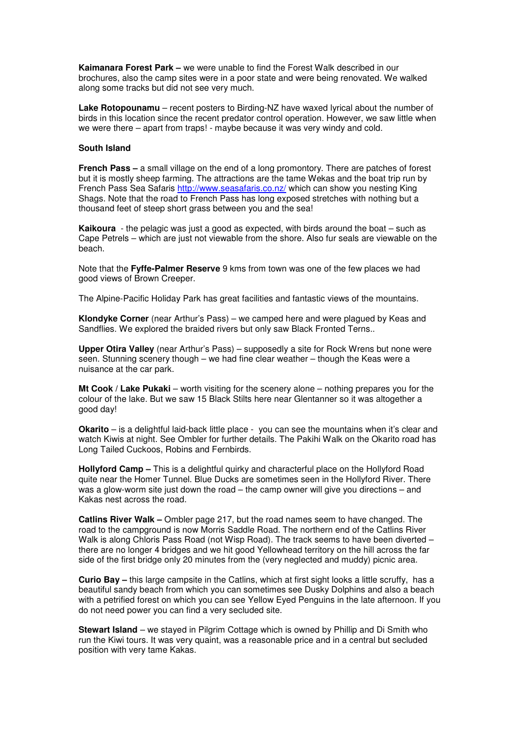**Kaimanara Forest Park –** we were unable to find the Forest Walk described in our brochures, also the camp sites were in a poor state and were being renovated. We walked along some tracks but did not see very much.

**Lake Rotopounamu** – recent posters to Birding-NZ have waxed lyrical about the number of birds in this location since the recent predator control operation. However, we saw little when we were there – apart from traps! - maybe because it was very windy and cold.

### **South Island**

**French Pass –** a small village on the end of a long promontory. There are patches of forest but it is mostly sheep farming. The attractions are the tame Wekas and the boat trip run by French Pass Sea Safaris http://www.seasafaris.co.nz/ which can show you nesting King Shags. Note that the road to French Pass has long exposed stretches with nothing but a thousand feet of steep short grass between you and the sea!

**Kaikoura** - the pelagic was just a good as expected, with birds around the boat – such as Cape Petrels – which are just not viewable from the shore. Also fur seals are viewable on the beach.

Note that the **Fyffe-Palmer Reserve** 9 kms from town was one of the few places we had good views of Brown Creeper.

The Alpine-Pacific Holiday Park has great facilities and fantastic views of the mountains.

**Klondyke Corner** (near Arthur's Pass) – we camped here and were plagued by Keas and Sandflies. We explored the braided rivers but only saw Black Fronted Terns..

**Upper Otira Valley** (near Arthur's Pass) – supposedly a site for Rock Wrens but none were seen. Stunning scenery though – we had fine clear weather – though the Keas were a nuisance at the car park.

**Mt Cook / Lake Pukaki** – worth visiting for the scenery alone – nothing prepares you for the colour of the lake. But we saw 15 Black Stilts here near Glentanner so it was altogether a good day!

**Okarito** – is a delightful laid-back little place - you can see the mountains when it's clear and watch Kiwis at night. See Ombler for further details. The Pakihi Walk on the Okarito road has Long Tailed Cuckoos, Robins and Fernbirds.

**Hollyford Camp –** This is a delightful quirky and characterful place on the Hollyford Road quite near the Homer Tunnel. Blue Ducks are sometimes seen in the Hollyford River. There was a glow-worm site just down the road – the camp owner will give you directions – and Kakas nest across the road.

**Catlins River Walk –** Ombler page 217, but the road names seem to have changed. The road to the campground is now Morris Saddle Road. The northern end of the Catlins River Walk is along Chloris Pass Road (not Wisp Road). The track seems to have been diverted there are no longer 4 bridges and we hit good Yellowhead territory on the hill across the far side of the first bridge only 20 minutes from the (very neglected and muddy) picnic area.

**Curio Bay –** this large campsite in the Catlins, which at first sight looks a little scruffy, has a beautiful sandy beach from which you can sometimes see Dusky Dolphins and also a beach with a petrified forest on which you can see Yellow Eyed Penguins in the late afternoon. If you do not need power you can find a very secluded site.

**Stewart Island** – we stayed in Pilgrim Cottage which is owned by Phillip and Di Smith who run the Kiwi tours. It was very quaint, was a reasonable price and in a central but secluded position with very tame Kakas.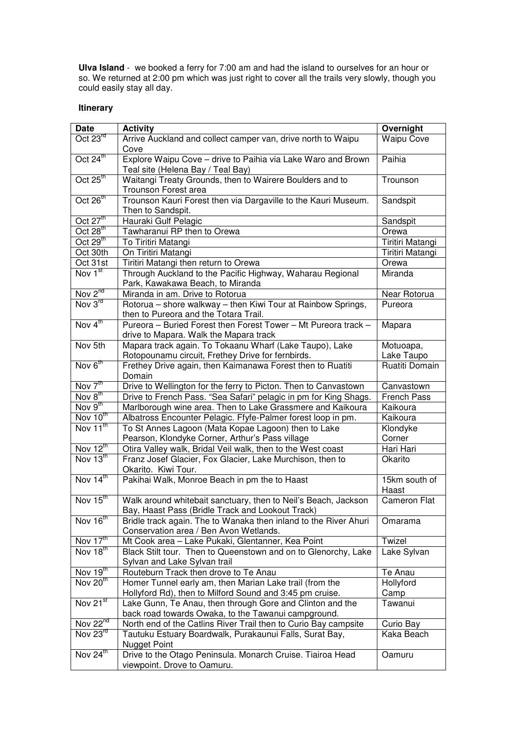**Ulva Island** - we booked a ferry for 7:00 am and had the island to ourselves for an hour or so. We returned at 2:00 pm which was just right to cover all the trails very slowly, though you could easily stay all day.

# **Itinerary**

| Date                                                         | <b>Activity</b>                                                                                        | Overnight            |
|--------------------------------------------------------------|--------------------------------------------------------------------------------------------------------|----------------------|
| Oct 23rd                                                     | Arrive Auckland and collect camper van, drive north to Waipu                                           | <b>Waipu Cove</b>    |
|                                                              | Cove                                                                                                   |                      |
| Oct 24 <sup>th</sup>                                         | Explore Waipu Cove - drive to Paihia via Lake Waro and Brown                                           | Paihia               |
|                                                              | Teal site (Helena Bay / Teal Bay)                                                                      |                      |
| Oct $25^{\text{th}}$                                         | Waitangi Treaty Grounds, then to Wairere Boulders and to                                               | Trounson             |
|                                                              | Trounson Forest area                                                                                   |                      |
| Oct 26 <sup>th</sup>                                         | Trounson Kauri Forest then via Dargaville to the Kauri Museum.                                         | Sandspit             |
|                                                              | Then to Sandspit.                                                                                      |                      |
| Oct $27th$                                                   | Hauraki Gulf Pelagic                                                                                   | Sandspit             |
| Oct $28th$                                                   | Tawharanui RP then to Orewa                                                                            | Orewa                |
| Oct $29th$                                                   | To Tiritiri Matangi                                                                                    | Tiritiri Matangi     |
| Oct 30th                                                     | On Tiritiri Matangi                                                                                    | Tiritiri Matangi     |
| Oct 31st                                                     | Tiritiri Matangi then return to Orewa                                                                  | Orewa                |
| Nov $\overline{1}^{\text{st}}$                               | Through Auckland to the Pacific Highway, Waharau Regional<br>Park, Kawakawa Beach, to Miranda          | Miranda              |
| Nov 2 <sup>nd</sup>                                          | Miranda in am. Drive to Rotorua                                                                        | Near Rotorua         |
| Nov $3^{\text{rd}}$                                          | Rotorua - shore walkway - then Kiwi Tour at Rainbow Springs,                                           | Pureora              |
|                                                              | then to Pureora and the Totara Trail.                                                                  |                      |
| Nov 4 <sup>th</sup>                                          | Pureora - Buried Forest then Forest Tower - Mt Pureora track -                                         | Mapara               |
|                                                              | drive to Mapara. Walk the Mapara track                                                                 |                      |
| Nov 5th                                                      | Mapara track again. To Tokaanu Wharf (Lake Taupo), Lake                                                | Motuoapa,            |
|                                                              | Rotopounamu circuit, Frethey Drive for fernbirds.                                                      | Lake Taupo           |
| Nov 6th                                                      | Frethey Drive again, then Kaimanawa Forest then to Ruatiti                                             | Ruatiti Domain       |
|                                                              | Domain                                                                                                 |                      |
| $\overline{\text{Nov }7^{\text{th}}}$<br>Nov 8 <sup>th</sup> | Drive to Wellington for the ferry to Picton. Then to Canvastown                                        | Canvastown           |
| Nov $9^{\text{th}}$                                          | Drive to French Pass. "Sea Safari" pelagic in pm for King Shags.                                       | French Pass          |
| $\overline{\text{Nov }10^{\text{th}}}$                       | Marlborough wine area. Then to Lake Grassmere and Kaikoura                                             | Kaikoura             |
| Nov 11 <sup>th</sup>                                         | Albatross Encounter Pelagic. Ffyfe-Palmer forest loop in pm.                                           | Kaikoura             |
|                                                              | To St Annes Lagoon (Mata Kopae Lagoon) then to Lake<br>Pearson, Klondyke Corner, Arthur's Pass village | Klondyke<br>Corner   |
| Nov $12^{\text{th}}$                                         | Otira Valley walk, Bridal Veil walk, then to the West coast                                            | Hari Hari            |
| Nov $13th$                                                   | Franz Josef Glacier, Fox Glacier, Lake Murchison, then to                                              | Okarito              |
|                                                              | Okarito. Kiwi Tour.                                                                                    |                      |
| Nov 14th                                                     | Pakihai Walk, Monroe Beach in pm the to Haast                                                          | 15km south of        |
|                                                              |                                                                                                        | Haast                |
| Nov 15th                                                     | Walk around whitebait sanctuary, then to Neil's Beach, Jackson                                         | <b>Cameron Flat</b>  |
|                                                              | Bay, Haast Pass (Bridle Track and Lookout Track)                                                       |                      |
| Nov 16 <sup>th</sup>                                         | Bridle track again. The to Wanaka then inland to the River Ahuri                                       | Omarama              |
|                                                              | Conservation area / Ben Avon Wetlands.                                                                 |                      |
| Nov $17^{\text{th}}$<br>Nov 18 <sup>th</sup>                 | Mt Cook area - Lake Pukaki, Glentanner, Kea Point                                                      | Twizel               |
|                                                              | Black Stilt tour. Then to Queenstown and on to Glenorchy, Lake                                         | Lake Sylvan          |
| Nov $19th$                                                   | Sylvan and Lake Sylvan trail<br>Routeburn Track then drove to Te Anau                                  |                      |
| Nov 20th                                                     | Homer Tunnel early am, then Marian Lake trail (from the                                                | Te Anau<br>Hollyford |
|                                                              | Hollyford Rd), then to Milford Sound and 3:45 pm cruise.                                               | Camp                 |
| Nov 21 <sup>st</sup>                                         | Lake Gunn, Te Anau, then through Gore and Clinton and the                                              | Tawanui              |
|                                                              | back road towards Owaka, to the Tawanui campground.                                                    |                      |
| Nov 22 <sup>nd</sup>                                         | North end of the Catlins River Trail then to Curio Bay campsite                                        | Curio Bay            |
| Nov $23^{rd}$                                                | Tautuku Estuary Boardwalk, Purakaunui Falls, Surat Bay,                                                | Kaka Beach           |
|                                                              | <b>Nugget Point</b>                                                                                    |                      |
| Nov 24th                                                     | Drive to the Otago Peninsula. Monarch Cruise. Tiairoa Head                                             | Oamuru               |
|                                                              | viewpoint. Drove to Oamuru.                                                                            |                      |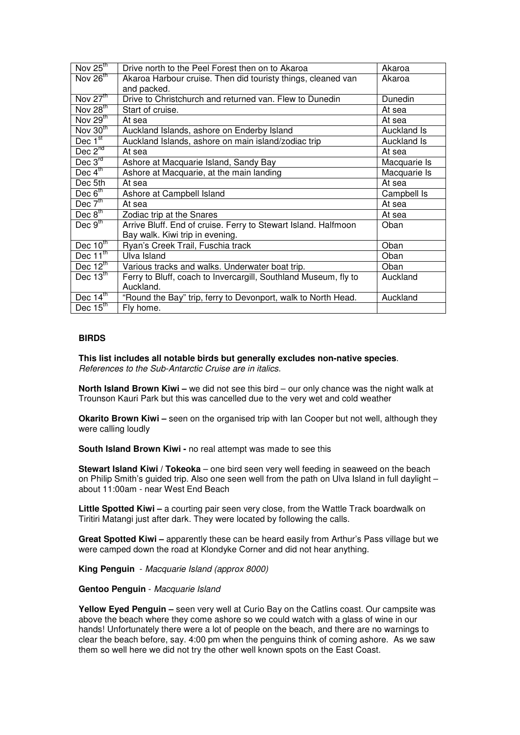| Nov $25^{\text{th}}$            | Drive north to the Peel Forest then on to Akaroa                | Akaroa       |
|---------------------------------|-----------------------------------------------------------------|--------------|
| Nov $26^{\text{th}}$            | Akaroa Harbour cruise. Then did touristy things, cleaned van    | Akaroa       |
|                                 | and packed.                                                     |              |
| Nov $27^{\text{th}}$            | Drive to Christchurch and returned van. Flew to Dunedin         | Dunedin      |
| Nov $28th$                      | Start of cruise.                                                | At sea       |
| Nov $29th$                      | At sea                                                          | At sea       |
| Nov $30th$                      | Auckland Islands, ashore on Enderby Island                      | Auckland Is  |
| Dec 1 <sup>st</sup>             | Auckland Islands, ashore on main island/zodiac trip             | Auckland Is  |
| Dec $2^{nd}$                    | At sea                                                          | At sea       |
| Dec $3^{rd}$                    | Ashore at Macquarie Island, Sandy Bay                           | Macquarie Is |
| Dec $4^{\text{th}}$             | Ashore at Macquarie, at the main landing                        | Macquarie Is |
| Dec 5th                         | At sea                                                          | At sea       |
| Dec $6th$                       | Ashore at Campbell Island                                       | Campbell Is  |
| Dec $7tn$                       | At sea                                                          | At sea       |
| Dec $8th$                       | Zodiac trip at the Snares                                       | At sea       |
| Dec $9th$                       | Arrive Bluff. End of cruise. Ferry to Stewart Island. Halfmoon  | Oban         |
|                                 | Bay walk. Kiwi trip in evening.                                 |              |
| Dec $10^{\text{th}}$            | Ryan's Creek Trail, Fuschia track                               | Oban         |
| Dec $\overline{11}^{\text{th}}$ | Ulva Island                                                     | Oban         |
| Dec $12^{\text{th}}$            | Various tracks and walks. Underwater boat trip.                 | Oban         |
| Dec $13^{\overline{10}}$        | Ferry to Bluff, coach to Invercargill, Southland Museum, fly to | Auckland     |
|                                 | Auckland.                                                       |              |
| Dec $14th$                      | "Round the Bay" trip, ferry to Devonport, walk to North Head.   | Auckland     |
| Dec $15^{\text{th}}$            | Fly home.                                                       |              |

### **BIRDS**

**This list includes all notable birds but generally excludes non-native species**. References to the Sub-Antarctic Cruise are in italics.

**North Island Brown Kiwi –** we did not see this bird – our only chance was the night walk at Trounson Kauri Park but this was cancelled due to the very wet and cold weather

**Okarito Brown Kiwi** – seen on the organised trip with Ian Cooper but not well, although they were calling loudly

**South Island Brown Kiwi -** no real attempt was made to see this

**Stewart Island Kiwi / Tokeoka** – one bird seen very well feeding in seaweed on the beach on Philip Smith's guided trip. Also one seen well from the path on Ulva Island in full daylight – about 11:00am - near West End Beach

Little Spotted Kiwi - a courting pair seen very close, from the Wattle Track boardwalk on Tiritiri Matangi just after dark. They were located by following the calls.

**Great Spotted Kiwi –** apparently these can be heard easily from Arthur's Pass village but we were camped down the road at Klondyke Corner and did not hear anything.

**King Penguin** - Macquarie Island (approx 8000)

#### **Gentoo Penguin** - Macquarie Island

**Yellow Eyed Penguin –** seen very well at Curio Bay on the Catlins coast. Our campsite was above the beach where they come ashore so we could watch with a glass of wine in our hands! Unfortunately there were a lot of people on the beach, and there are no warnings to clear the beach before, say. 4:00 pm when the penguins think of coming ashore. As we saw them so well here we did not try the other well known spots on the East Coast.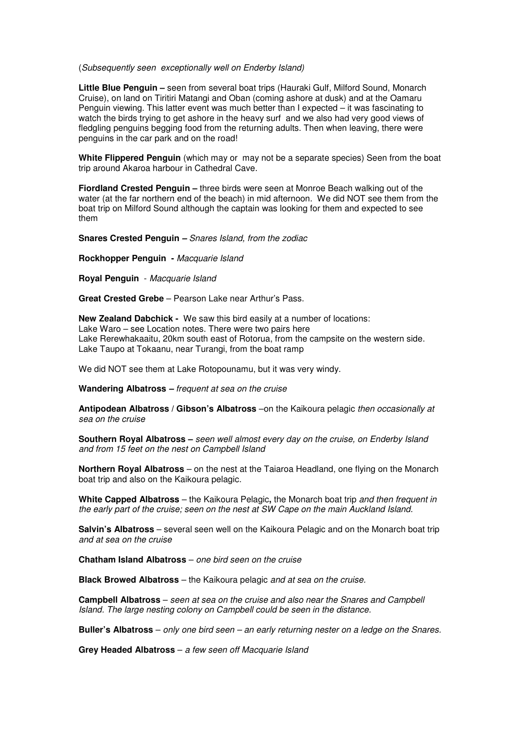#### (Subsequently seen exceptionally well on Enderby Island)

**Little Blue Penguin –** seen from several boat trips (Hauraki Gulf, Milford Sound, Monarch Cruise), on land on Tiritiri Matangi and Oban (coming ashore at dusk) and at the Oamaru Penguin viewing. This latter event was much better than I expected – it was fascinating to watch the birds trying to get ashore in the heavy surf and we also had very good views of fledgling penguins begging food from the returning adults. Then when leaving, there were penguins in the car park and on the road!

**White Flippered Penguin** (which may or may not be a separate species) Seen from the boat trip around Akaroa harbour in Cathedral Cave.

**Fiordland Crested Penguin –** three birds were seen at Monroe Beach walking out of the water (at the far northern end of the beach) in mid afternoon. We did NOT see them from the boat trip on Milford Sound although the captain was looking for them and expected to see them

**Snares Crested Penguin –** Snares Island, from the zodiac

**Rockhopper Penguin -** Macquarie Island

**Royal Penguin** - Macquarie Island

**Great Crested Grebe** – Pearson Lake near Arthur's Pass.

**New Zealand Dabchick -** We saw this bird easily at a number of locations: Lake Waro – see Location notes. There were two pairs here Lake Rerewhakaaitu, 20km south east of Rotorua, from the campsite on the western side. Lake Taupo at Tokaanu, near Turangi, from the boat ramp

We did NOT see them at Lake Rotopounamu, but it was very windy.

**Wandering Albatross –** frequent at sea on the cruise

**Antipodean Albatross / Gibson's Albatross** –on the Kaikoura pelagic then occasionally at sea on the cruise

**Southern Royal Albatross –** seen well almost every day on the cruise, on Enderby Island and from 15 feet on the nest on Campbell Island

**Northern Royal Albatross** – on the nest at the Taiaroa Headland, one flying on the Monarch boat trip and also on the Kaikoura pelagic.

**White Capped Albatross** – the Kaikoura Pelagic**,** the Monarch boat trip and then frequent in the early part of the cruise; seen on the nest at SW Cape on the main Auckland Island.

**Salvin's Albatross** – several seen well on the Kaikoura Pelagic and on the Monarch boat trip and at sea on the cruise

**Chatham Island Albatross** – one bird seen on the cruise

**Black Browed Albatross** – the Kaikoura pelagic and at sea on the cruise.

**Campbell Albatross** – seen at sea on the cruise and also near the Snares and Campbell Island. The large nesting colony on Campbell could be seen in the distance.

**Buller's Albatross** – only one bird seen – an early returning nester on a ledge on the Snares.

**Grey Headed Albatross** – a few seen off Macquarie Island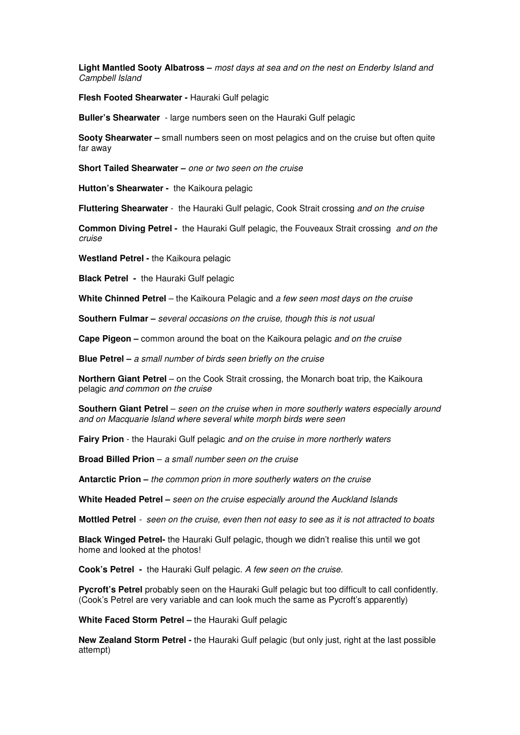**Light Mantled Sooty Albatross –** most days at sea and on the nest on Enderby Island and Campbell Island

**Flesh Footed Shearwater -** Hauraki Gulf pelagic

**Buller's Shearwater** - large numbers seen on the Hauraki Gulf pelagic

**Sooty Shearwater –** small numbers seen on most pelagics and on the cruise but often quite far away

**Short Tailed Shearwater –** one or two seen on the cruise

**Hutton's Shearwater -** the Kaikoura pelagic

**Fluttering Shearwater** - the Hauraki Gulf pelagic, Cook Strait crossing and on the cruise

**Common Diving Petrel -** the Hauraki Gulf pelagic, the Fouveaux Strait crossing and on the cruise

**Westland Petrel -** the Kaikoura pelagic

**Black Petrel -** the Hauraki Gulf pelagic

**White Chinned Petrel** – the Kaikoura Pelagic and a few seen most days on the cruise

**Southern Fulmar –** several occasions on the cruise, though this is not usual

**Cape Pigeon –** common around the boat on the Kaikoura pelagic and on the cruise

**Blue Petrel –** a small number of birds seen briefly on the cruise

**Northern Giant Petrel** – on the Cook Strait crossing, the Monarch boat trip, the Kaikoura pelagic and common on the cruise

**Southern Giant Petrel** – seen on the cruise when in more southerly waters especially around and on Macquarie Island where several white morph birds were seen

**Fairy Prion** - the Hauraki Gulf pelagic and on the cruise in more northerly waters

**Broad Billed Prion** – a small number seen on the cruise

**Antarctic Prion –** the common prion in more southerly waters on the cruise

**White Headed Petrel –** seen on the cruise especially around the Auckland Islands

**Mottled Petrel** - seen on the cruise, even then not easy to see as it is not attracted to boats

**Black Winged Petrel-** the Hauraki Gulf pelagic, though we didn't realise this until we got home and looked at the photos!

**Cook's Petrel -** the Hauraki Gulf pelagic. A few seen on the cruise.

**Pycroft's Petrel** probably seen on the Hauraki Gulf pelagic but too difficult to call confidently. (Cook's Petrel are very variable and can look much the same as Pycroft's apparently)

**White Faced Storm Petrel –** the Hauraki Gulf pelagic

**New Zealand Storm Petrel -** the Hauraki Gulf pelagic (but only just, right at the last possible attempt)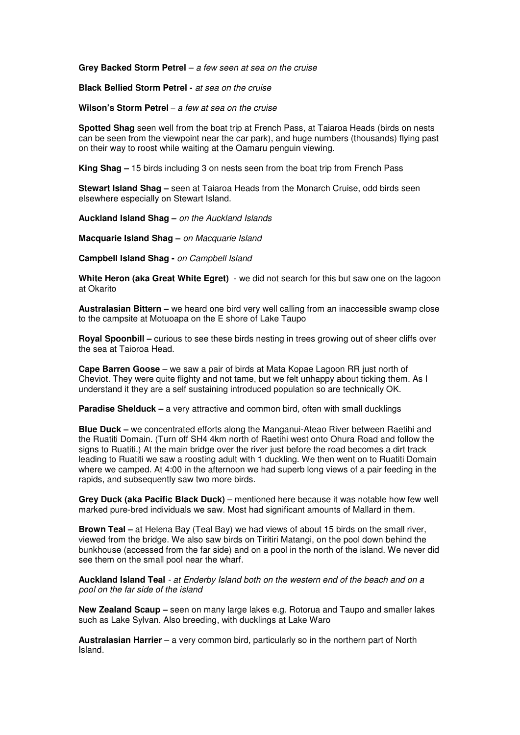**Grey Backed Storm Petrel** – a few seen at sea on the cruise

**Black Bellied Storm Petrel -** at sea on the cruise

**Wilson's Storm Petrel** – a few at sea on the cruise

**Spotted Shag** seen well from the boat trip at French Pass, at Taiaroa Heads (birds on nests can be seen from the viewpoint near the car park), and huge numbers (thousands) flying past on their way to roost while waiting at the Oamaru penguin viewing.

**King Shag –** 15 birds including 3 on nests seen from the boat trip from French Pass

**Stewart Island Shag –** seen at Taiaroa Heads from the Monarch Cruise, odd birds seen elsewhere especially on Stewart Island.

**Auckland Island Shag –** on the Auckland Islands

**Macquarie Island Shag –** on Macquarie Island

**Campbell Island Shag -** on Campbell Island

**White Heron (aka Great White Egret)** - we did not search for this but saw one on the lagoon at Okarito

**Australasian Bittern –** we heard one bird very well calling from an inaccessible swamp close to the campsite at Motuoapa on the E shore of Lake Taupo

**Royal Spoonbill –** curious to see these birds nesting in trees growing out of sheer cliffs over the sea at Taioroa Head.

**Cape Barren Goose** – we saw a pair of birds at Mata Kopae Lagoon RR just north of Cheviot. They were quite flighty and not tame, but we felt unhappy about ticking them. As I understand it they are a self sustaining introduced population so are technically OK.

**Paradise Shelduck – a** very attractive and common bird, often with small ducklings

**Blue Duck –** we concentrated efforts along the Manganui-Ateao River between Raetihi and the Ruatiti Domain. (Turn off SH4 4km north of Raetihi west onto Ohura Road and follow the signs to Ruatiti.) At the main bridge over the river just before the road becomes a dirt track leading to Ruatiti we saw a roosting adult with 1 duckling. We then went on to Ruatiti Domain where we camped. At 4:00 in the afternoon we had superb long views of a pair feeding in the rapids, and subsequently saw two more birds.

**Grey Duck (aka Pacific Black Duck)** – mentioned here because it was notable how few well marked pure-bred individuals we saw. Most had significant amounts of Mallard in them.

**Brown Teal –** at Helena Bay (Teal Bay) we had views of about 15 birds on the small river, viewed from the bridge. We also saw birds on Tiritiri Matangi, on the pool down behind the bunkhouse (accessed from the far side) and on a pool in the north of the island. We never did see them on the small pool near the wharf.

**Auckland Island Teal** - at Enderby Island both on the western end of the beach and on a pool on the far side of the island

**New Zealand Scaup –** seen on many large lakes e.g. Rotorua and Taupo and smaller lakes such as Lake Sylvan. Also breeding, with ducklings at Lake Waro

**Australasian Harrier** – a very common bird, particularly so in the northern part of North Island.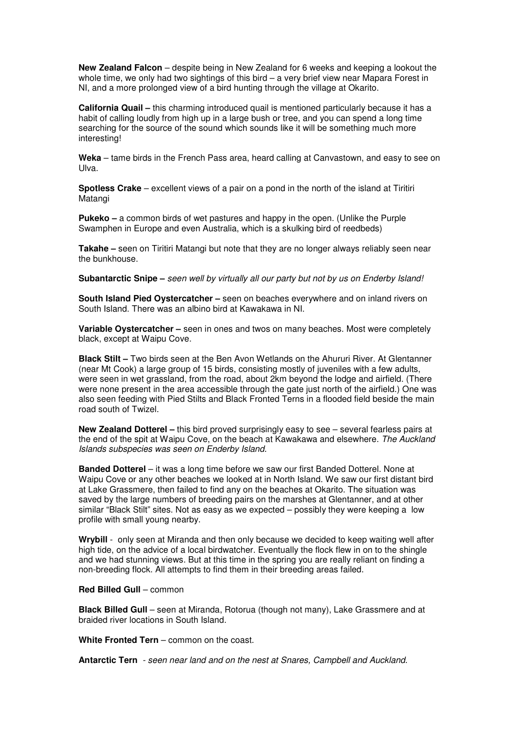**New Zealand Falcon** – despite being in New Zealand for 6 weeks and keeping a lookout the whole time, we only had two sightings of this bird – a very brief view near Mapara Forest in NI, and a more prolonged view of a bird hunting through the village at Okarito.

**California Quail –** this charming introduced quail is mentioned particularly because it has a habit of calling loudly from high up in a large bush or tree, and you can spend a long time searching for the source of the sound which sounds like it will be something much more interesting!

**Weka** – tame birds in the French Pass area, heard calling at Canvastown, and easy to see on Ulva.

**Spotless Crake** – excellent views of a pair on a pond in the north of the island at Tiritiri Matangi

**Pukeko –** a common birds of wet pastures and happy in the open. (Unlike the Purple Swamphen in Europe and even Australia, which is a skulking bird of reedbeds)

**Takahe –** seen on Tiritiri Matangi but note that they are no longer always reliably seen near the bunkhouse.

**Subantarctic Snipe –** seen well by virtually all our party but not by us on Enderby Island!

**South Island Pied Oystercatcher –** seen on beaches everywhere and on inland rivers on South Island. There was an albino bird at Kawakawa in NI.

**Variable Oystercatcher –** seen in ones and twos on many beaches. Most were completely black, except at Waipu Cove.

**Black Stilt –** Two birds seen at the Ben Avon Wetlands on the Ahururi River. At Glentanner (near Mt Cook) a large group of 15 birds, consisting mostly of juveniles with a few adults, were seen in wet grassland, from the road, about 2km beyond the lodge and airfield. (There were none present in the area accessible through the gate just north of the airfield.) One was also seen feeding with Pied Stilts and Black Fronted Terns in a flooded field beside the main road south of Twizel.

**New Zealand Dotterel –** this bird proved surprisingly easy to see – several fearless pairs at the end of the spit at Waipu Cove, on the beach at Kawakawa and elsewhere. The Auckland Islands subspecies was seen on Enderby Island.

**Banded Dotterel** – it was a long time before we saw our first Banded Dotterel. None at Waipu Cove or any other beaches we looked at in North Island. We saw our first distant bird at Lake Grassmere, then failed to find any on the beaches at Okarito. The situation was saved by the large numbers of breeding pairs on the marshes at Glentanner, and at other similar "Black Stilt" sites. Not as easy as we expected – possibly they were keeping a low profile with small young nearby.

**Wrybill** - only seen at Miranda and then only because we decided to keep waiting well after high tide, on the advice of a local birdwatcher. Eventually the flock flew in on to the shingle and we had stunning views. But at this time in the spring you are really reliant on finding a non-breeding flock. All attempts to find them in their breeding areas failed.

#### **Red Billed Gull** – common

**Black Billed Gull** – seen at Miranda, Rotorua (though not many), Lake Grassmere and at braided river locations in South Island.

**White Fronted Tern** – common on the coast.

**Antarctic Tern** - seen near land and on the nest at Snares, Campbell and Auckland.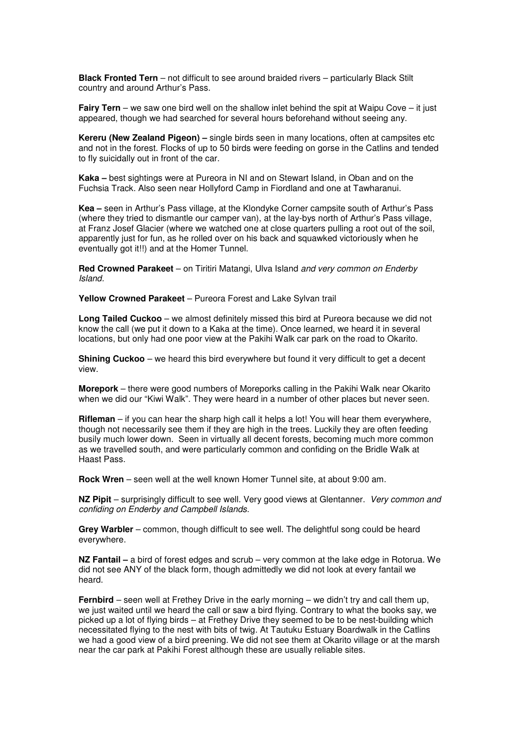**Black Fronted Tern** – not difficult to see around braided rivers – particularly Black Stilt country and around Arthur's Pass.

**Fairy Tern** – we saw one bird well on the shallow inlet behind the spit at Waipu Cove – it just appeared, though we had searched for several hours beforehand without seeing any.

**Kereru (New Zealand Pigeon) –** single birds seen in many locations, often at campsites etc and not in the forest. Flocks of up to 50 birds were feeding on gorse in the Catlins and tended to fly suicidally out in front of the car.

**Kaka –** best sightings were at Pureora in NI and on Stewart Island, in Oban and on the Fuchsia Track. Also seen near Hollyford Camp in Fiordland and one at Tawharanui.

**Kea –** seen in Arthur's Pass village, at the Klondyke Corner campsite south of Arthur's Pass (where they tried to dismantle our camper van), at the lay-bys north of Arthur's Pass village, at Franz Josef Glacier (where we watched one at close quarters pulling a root out of the soil, apparently just for fun, as he rolled over on his back and squawked victoriously when he eventually got it!!) and at the Homer Tunnel.

**Red Crowned Parakeet** – on Tiritiri Matangi, Ulva Island and very common on Enderby Island.

**Yellow Crowned Parakeet** – Pureora Forest and Lake Sylvan trail

**Long Tailed Cuckoo** – we almost definitely missed this bird at Pureora because we did not know the call (we put it down to a Kaka at the time). Once learned, we heard it in several locations, but only had one poor view at the Pakihi Walk car park on the road to Okarito.

**Shining Cuckoo** – we heard this bird everywhere but found it very difficult to get a decent view.

**Morepork** – there were good numbers of Moreporks calling in the Pakihi Walk near Okarito when we did our "Kiwi Walk". They were heard in a number of other places but never seen.

**Rifleman** – if you can hear the sharp high call it helps a lot! You will hear them everywhere, though not necessarily see them if they are high in the trees. Luckily they are often feeding busily much lower down. Seen in virtually all decent forests, becoming much more common as we travelled south, and were particularly common and confiding on the Bridle Walk at Haast Pass.

**Rock Wren** – seen well at the well known Homer Tunnel site, at about 9:00 am.

**NZ Pipit** – surprisingly difficult to see well. Very good views at Glentanner. Very common and confiding on Enderby and Campbell Islands.

**Grey Warbler** – common, though difficult to see well. The delightful song could be heard everywhere.

**NZ Fantail –** a bird of forest edges and scrub – very common at the lake edge in Rotorua. We did not see ANY of the black form, though admittedly we did not look at every fantail we heard.

**Fernbird** – seen well at Frethey Drive in the early morning – we didn't try and call them up, we just waited until we heard the call or saw a bird flying. Contrary to what the books say, we picked up a lot of flying birds – at Frethey Drive they seemed to be to be nest-building which necessitated flying to the nest with bits of twig. At Tautuku Estuary Boardwalk in the Catlins we had a good view of a bird preening. We did not see them at Okarito village or at the marsh near the car park at Pakihi Forest although these are usually reliable sites.